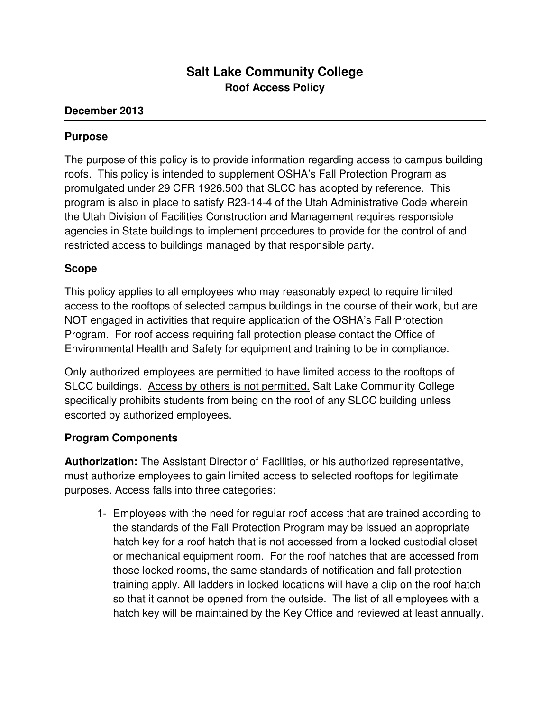# **Salt Lake Community College Roof Access Policy**

### **December 2013**

### **Purpose**

The purpose of this policy is to provide information regarding access to campus building roofs. This policy is intended to supplement OSHA's Fall Protection Program as promulgated under 29 CFR 1926.500 that SLCC has adopted by reference. This program is also in place to satisfy R23-14-4 of the Utah Administrative Code wherein the Utah Division of Facilities Construction and Management requires responsible agencies in State buildings to implement procedures to provide for the control of and restricted access to buildings managed by that responsible party.

## **Scope**

This policy applies to all employees who may reasonably expect to require limited access to the rooftops of selected campus buildings in the course of their work, but are NOT engaged in activities that require application of the OSHA's Fall Protection Program. For roof access requiring fall protection please contact the Office of Environmental Health and Safety for equipment and training to be in compliance.

Only authorized employees are permitted to have limited access to the rooftops of SLCC buildings. Access by others is not permitted. Salt Lake Community College specifically prohibits students from being on the roof of any SLCC building unless escorted by authorized employees.

#### **Program Components**

**Authorization:** The Assistant Director of Facilities, or his authorized representative, must authorize employees to gain limited access to selected rooftops for legitimate purposes. Access falls into three categories:

1- Employees with the need for regular roof access that are trained according to the standards of the Fall Protection Program may be issued an appropriate hatch key for a roof hatch that is not accessed from a locked custodial closet or mechanical equipment room. For the roof hatches that are accessed from those locked rooms, the same standards of notification and fall protection training apply. All ladders in locked locations will have a clip on the roof hatch so that it cannot be opened from the outside. The list of all employees with a hatch key will be maintained by the Key Office and reviewed at least annually.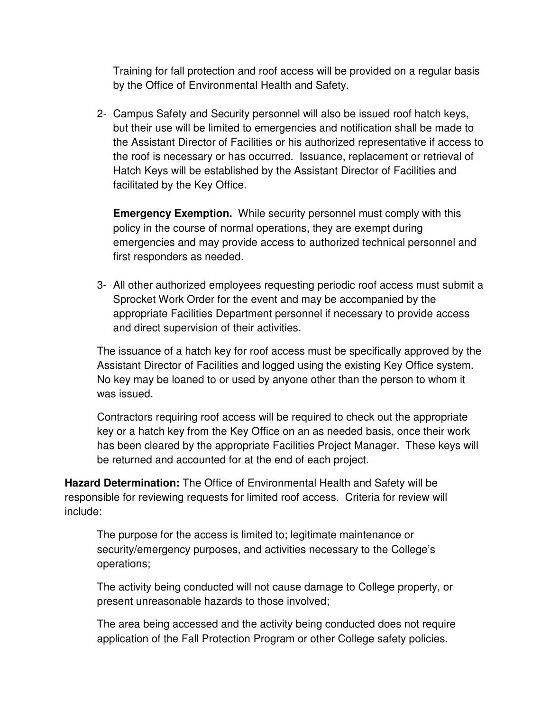Training for fall protection and roof access will be provided on a regular basis by the Office of Environmental Health and Safety.

2- Campus Safety and Security personnel will also be issued roof hatch keys, but their use will be limited to emergencies and notification shall be made to the Assistant Director of Facilities or his authorized representative if access to the roof is necessary or has occurred. Issuance, replacement or retrieval of Hatch Keys will be established by the Assistant Director of Facilities and facilitated by the Key Office.

**Emergency Exemption.** While security personnel must comply with this policy in the course of normal operations, they are exempt during emergencies and may provide access to authorized technical personnel and first responders as needed.

3- All other authorized employees requesting periodic roof access must submit a Sprocket Work Order for the event and may be accompanied by the appropriate Facilities Department personnel if necessary to provide access and direct supervision of their activities.

The issuance of a hatch key for roof access must be specifically approved by the Assistant Director of Facilities and logged using the existing Key Office system. No key may be loaned to or used by anyone other than the person to whom it was issued.

Contractors requiring roof access will be required to check out the appropriate key or a hatch key from the Key Office on an as needed basis, once their work has been cleared by the appropriate Facilities Project Manager. These keys will be returned and accounted for at the end of each project.

**Hazard Determination:** The Office of Environmental Health and Safety will be responsible for reviewing requests for limited roof access. Criteria for review will include:

The purpose for the access is limited to; legitimate maintenance or security/emergency purposes, and activities necessary to the College's operations;

The activity being conducted will not cause damage to College property, or present unreasonable hazards to those involved;

The area being accessed and the activity being conducted does not require application of the Fall Protection Program or other College safety policies.